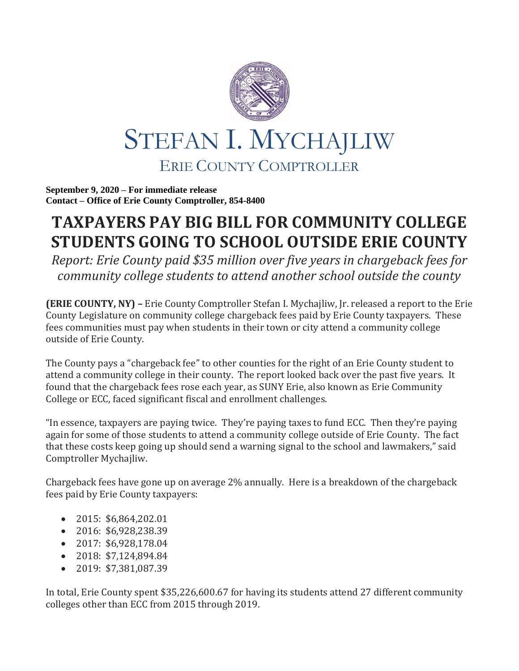

**September 9, 2020 – For immediate release Contact – Office of Erie County Comptroller, 854-8400**

## **TAXPAYERS PAY BIG BILL FOR COMMUNITY COLLEGE STUDENTS GOING TO SCHOOL OUTSIDE ERIE COUNTY**

*Report: Erie County paid \$35 million over five years in chargeback fees for community college students to attend another school outside the county*

**(ERIE COUNTY, NY) –** Erie County Comptroller Stefan I. Mychajliw, Jr. released a report to the Erie County Legislature on community college chargeback fees paid by Erie County taxpayers. These fees communities must pay when students in their town or city attend a community college outside of Erie County.

The County pays a "chargeback fee" to other counties for the right of an Erie County student to attend a community college in their county. The report looked back over the past five years. It found that the chargeback fees rose each year, as SUNY Erie, also known as Erie Community College or ECC, faced significant fiscal and enrollment challenges.

"In essence, taxpayers are paying twice. They're paying taxes to fund ECC. Then they're paying again for some of those students to attend a community college outside of Erie County. The fact that these costs keep going up should send a warning signal to the school and lawmakers," said Comptroller Mychajliw.

Chargeback fees have gone up on average 2% annually. Here is a breakdown of the chargeback fees paid by Erie County taxpayers:

- 2015: \$6,864,202.01
- 2016: \$6,928,238.39
- 2017: \$6,928,178.04
- 2018: \$7,124,894.84
- 2019: \$7,381,087.39

In total, Erie County spent \$35,226,600.67 for having its students attend 27 different community colleges other than ECC from 2015 through 2019.